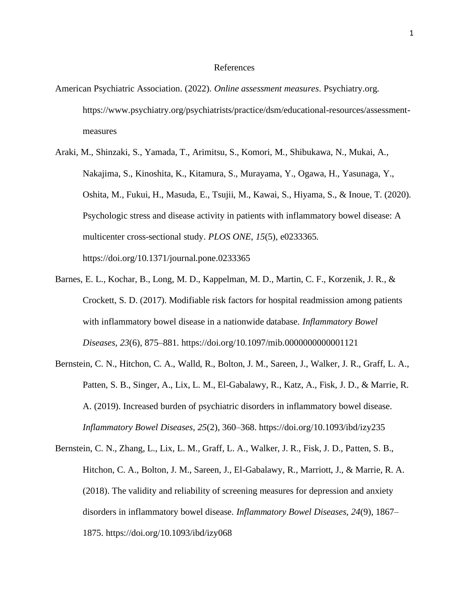## References

- American Psychiatric Association. (2022). *Online assessment measures*. Psychiatry.org. [https://www.psychiatry.org/psychiatrists/practice/dsm/educational-resources/assessment](https://www.psychiatry.org/psychiatrists/practice/dsm/educational-resources/assessment-measures)[measures](https://www.psychiatry.org/psychiatrists/practice/dsm/educational-resources/assessment-measures)
- Araki, M., Shinzaki, S., Yamada, T., Arimitsu, S., Komori, M., Shibukawa, N., Mukai, A., Nakajima, S., Kinoshita, K., Kitamura, S., Murayama, Y., Ogawa, H., Yasunaga, Y., Oshita, M., Fukui, H., Masuda, E., Tsujii, M., Kawai, S., Hiyama, S., & Inoue, T. (2020). Psychologic stress and disease activity in patients with inflammatory bowel disease: A multicenter cross-sectional study. *PLOS ONE*, *15*(5), e0233365. https://doi.org[/10.1371/journal.pone.0233365](10.1371/journal.pone.0233365)
- Barnes, E. L., Kochar, B., Long, M. D., Kappelman, M. D., Martin, C. F., Korzenik, J. R., & Crockett, S. D. (2017). Modifiable risk factors for hospital readmission among patients with inflammatory bowel disease in a nationwide database. *Inflammatory Bowel Diseases*, *23*(6), 875–881. https://doi.org[/10.1097/mib.0000000000001121](10.1097/mib.0000000000001121)
- Bernstein, C. N., Hitchon, C. A., Walld, R., Bolton, J. M., Sareen, J., Walker, J. R., Graff, L. A., Patten, S. B., Singer, A., Lix, L. M., El-Gabalawy, R., Katz, A., Fisk, J. D., & Marrie, R. A. (2019). Increased burden of psychiatric disorders in inflammatory bowel disease. *Inflammatory Bowel Diseases*, *25*(2), 360–368. https://doi.org[/10.1093/ibd/izy235](10.1093/ibd/izy235)
- Bernstein, C. N., Zhang, L., Lix, L. M., Graff, L. A., Walker, J. R., Fisk, J. D., Patten, S. B., Hitchon, C. A., Bolton, J. M., Sareen, J., El-Gabalawy, R., Marriott, J., & Marrie, R. A. (2018). The validity and reliability of screening measures for depression and anxiety disorders in inflammatory bowel disease. *Inflammatory Bowel Diseases*, *24*(9), 1867– 1875. https://doi.org[/10.1093/ibd/izy068](10.1093/ibd/izy068)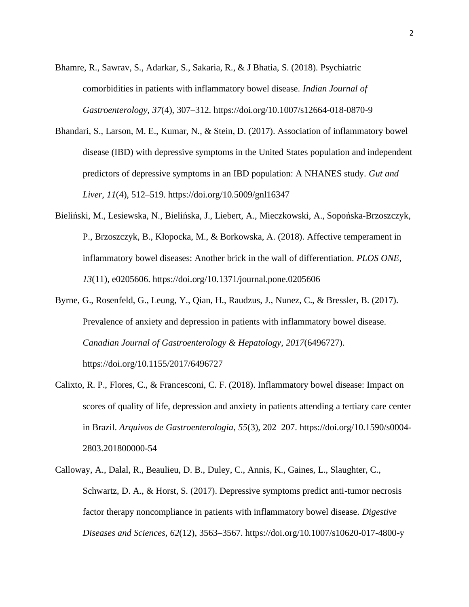- Bhamre, R., Sawrav, S., Adarkar, S., Sakaria, R., & J Bhatia, S. (2018). Psychiatric comorbidities in patients with inflammatory bowel disease. *Indian Journal of Gastroenterology*, *37*(4), 307–312. https://doi.org[/10.1007/s12664-018-0870-9](10.1007/s12664-018-0870-9)
- Bhandari, S., Larson, M. E., Kumar, N., & Stein, D. (2017). Association of inflammatory bowel disease (IBD) with depressive symptoms in the United States population and independent predictors of depressive symptoms in an IBD population: A NHANES study. *Gut and Liver*, *11*(4), 512–519. https://doi.org[/10.5009/gnl16347](10.5009/gnl16347)
- Bieliński, M., Lesiewska, N., Bielińska, J., Liebert, A., Mieczkowski, A., Sopońska-Brzoszczyk, P., Brzoszczyk, B., Kłopocka, M., & Borkowska, A. (2018). Affective temperament in inflammatory bowel diseases: Another brick in the wall of differentiation. *PLOS ONE*, *13*(11), e0205606. https://doi.org[/10.1371/journal.pone.0205606](10.1371/journal.pone.0205606)
- Byrne, G., Rosenfeld, G., Leung, Y., Qian, H., Raudzus, J., Nunez, C., & Bressler, B. (2017). Prevalence of anxiety and depression in patients with inflammatory bowel disease. *Canadian Journal of Gastroenterology & Hepatology*, *2017*(6496727). https://doi.org[/10.1155/2017/6496727](10.1155/2017/6496727)
- Calixto, R. P., Flores, C., & Francesconi, C. F. (2018). Inflammatory bowel disease: Impact on scores of quality of life, depression and anxiety in patients attending a tertiary care center in Brazil. *Arquivos de Gastroenterologia*, *55*(3), 202–207. https://doi.org[/10.1590/s0004-](10.1590/s0004-2803.201800000-54) [2803.201800000-54](10.1590/s0004-2803.201800000-54)
- Calloway, A., Dalal, R., Beaulieu, D. B., Duley, C., Annis, K., Gaines, L., Slaughter, C., Schwartz, D. A., & Horst, S. (2017). Depressive symptoms predict anti-tumor necrosis factor therapy noncompliance in patients with inflammatory bowel disease. *Digestive Diseases and Sciences*, *62*(12), 3563–3567. https://doi.org[/10.1007/s10620-017-4800-y](10.1007/s10620-017-4800-y)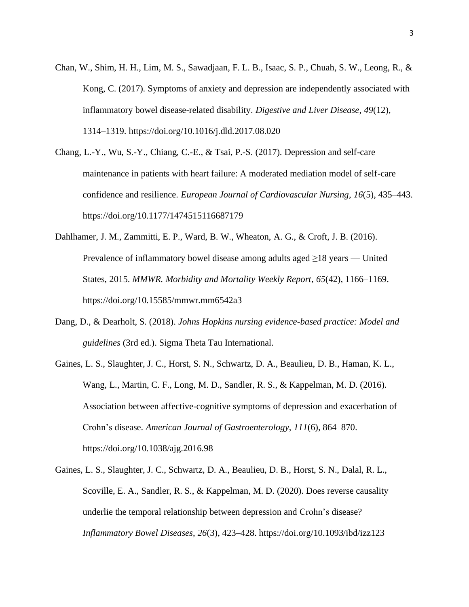- Chan, W., Shim, H. H., Lim, M. S., Sawadjaan, F. L. B., Isaac, S. P., Chuah, S. W., Leong, R., & Kong, C. (2017). Symptoms of anxiety and depression are independently associated with inflammatory bowel disease-related disability. *Digestive and Liver Disease*, *49*(12), 1314–1319. https://doi.org[/10.1016/j.dld.2017.08.020](10.1016/j.dld.2017.08.020)
- Chang, L.-Y., Wu, S.-Y., Chiang, C.-E., & Tsai, P.-S. (2017). Depression and self-care maintenance in patients with heart failure: A moderated mediation model of self-care confidence and resilience. *European Journal of Cardiovascular Nursing*, *16*(5), 435–443. https://doi.org[/10.1177/1474515116687179](10.1177/1474515116687179)
- Dahlhamer, J. M., Zammitti, E. P., Ward, B. W., Wheaton, A. G., & Croft, J. B. (2016). Prevalence of inflammatory bowel disease among adults aged ≥18 years — United States, 2015. *MMWR. Morbidity and Mortality Weekly Report*, *65*(42), 1166–1169. https://doi.org[/10.15585/mmwr.mm6542a3](10.15585/mmwr.mm6542a3)
- Dang, D., & Dearholt, S. (2018). *Johns Hopkins nursing evidence-based practice: Model and guidelines* (3rd ed.). Sigma Theta Tau International.
- Gaines, L. S., Slaughter, J. C., Horst, S. N., Schwartz, D. A., Beaulieu, D. B., Haman, K. L., Wang, L., Martin, C. F., Long, M. D., Sandler, R. S., & Kappelman, M. D. (2016). Association between affective-cognitive symptoms of depression and exacerbation of Crohn's disease. *American Journal of Gastroenterology*, *111*(6), 864–870. https://doi.org[/10.1038/ajg.2016.98](10.1038/ajg.2016.98)
- Gaines, L. S., Slaughter, J. C., Schwartz, D. A., Beaulieu, D. B., Horst, S. N., Dalal, R. L., Scoville, E. A., Sandler, R. S., & Kappelman, M. D. (2020). Does reverse causality underlie the temporal relationship between depression and Crohn's disease? *Inflammatory Bowel Diseases*, *26*(3), 423–428. https://doi.org[/10.1093/ibd/izz123](10.1093/ibd/izz123)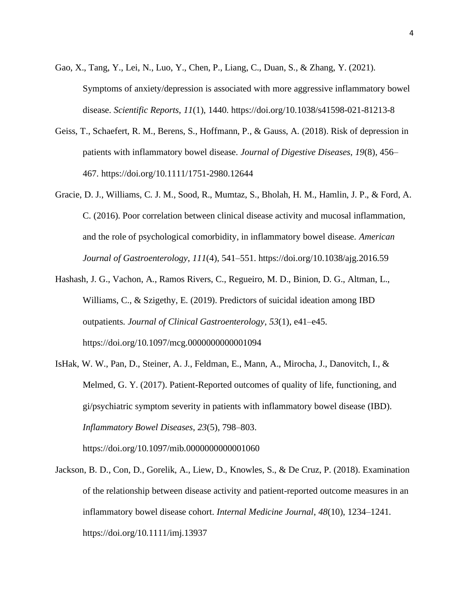- Gao, X., Tang, Y., Lei, N., Luo, Y., Chen, P., Liang, C., Duan, S., & Zhang, Y. (2021). Symptoms of anxiety/depression is associated with more aggressive inflammatory bowel disease. *Scientific Reports*, *11*(1), 1440. https://doi.org[/10.1038/s41598-021-81213-8](10.1038/s41598-021-81213-8)
- Geiss, T., Schaefert, R. M., Berens, S., Hoffmann, P., & Gauss, A. (2018). Risk of depression in patients with inflammatory bowel disease. *Journal of Digestive Diseases*, *19*(8), 456– 467. https://doi.org[/10.1111/1751-2980.12644](10.1111/1751-2980.12644)
- Gracie, D. J., Williams, C. J. M., Sood, R., Mumtaz, S., Bholah, H. M., Hamlin, J. P., & Ford, A. C. (2016). Poor correlation between clinical disease activity and mucosal inflammation, and the role of psychological comorbidity, in inflammatory bowel disease. *American Journal of Gastroenterology*, *111*(4), 541–551. https://doi.org[/10.1038/ajg.2016.59](10.1038/ajg.2016.59)
- Hashash, J. G., Vachon, A., Ramos Rivers, C., Regueiro, M. D., Binion, D. G., Altman, L., Williams, C., & Szigethy, E. (2019). Predictors of suicidal ideation among IBD outpatients. *Journal of Clinical Gastroenterology*, *53*(1), e41–e45. https://doi.org[/10.1097/mcg.0000000000001094](10.1097/mcg.0000000000001094)
- IsHak, W. W., Pan, D., Steiner, A. J., Feldman, E., Mann, A., Mirocha, J., Danovitch, I., & Melmed, G. Y. (2017). Patient-Reported outcomes of quality of life, functioning, and gi/psychiatric symptom severity in patients with inflammatory bowel disease (IBD). *Inflammatory Bowel Diseases*, *23*(5), 798–803.

https://doi.org[/10.1097/mib.0000000000001060](10.1097/mib.0000000000001060)

Jackson, B. D., Con, D., Gorelik, A., Liew, D., Knowles, S., & De Cruz, P. (2018). Examination of the relationship between disease activity and patient-reported outcome measures in an inflammatory bowel disease cohort. *Internal Medicine Journal*, *48*(10), 1234–1241. https://doi.org[/10.1111/imj.13937](10.1111/imj.13937)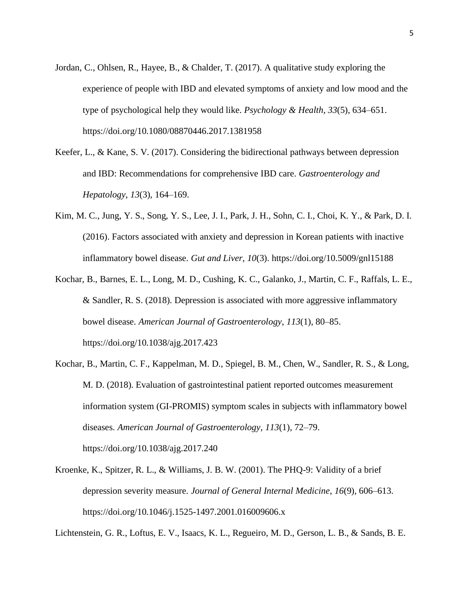- Jordan, C., Ohlsen, R., Hayee, B., & Chalder, T. (2017). A qualitative study exploring the experience of people with IBD and elevated symptoms of anxiety and low mood and the type of psychological help they would like. *Psychology & Health*, *33*(5), 634–651. https://doi.org[/10.1080/08870446.2017.1381958](10.1080/08870446.2017.1381958)
- Keefer, L., & Kane, S. V. (2017). Considering the bidirectional pathways between depression and IBD: Recommendations for comprehensive IBD care. *Gastroenterology and Hepatology*, *13*(3), 164–169.
- Kim, M. C., Jung, Y. S., Song, Y. S., Lee, J. I., Park, J. H., Sohn, C. I., Choi, K. Y., & Park, D. I. (2016). Factors associated with anxiety and depression in Korean patients with inactive inflammatory bowel disease. *Gut and Liver*, *10*(3). https://doi.org[/10.5009/gnl15188](10.5009/gnl15188)
- Kochar, B., Barnes, E. L., Long, M. D., Cushing, K. C., Galanko, J., Martin, C. F., Raffals, L. E., & Sandler, R. S. (2018). Depression is associated with more aggressive inflammatory bowel disease. *American Journal of Gastroenterology*, *113*(1), 80–85. https://doi.org[/10.1038/ajg.2017.423](10.1038/ajg.2017.423)
- Kochar, B., Martin, C. F., Kappelman, M. D., Spiegel, B. M., Chen, W., Sandler, R. S., & Long, M. D. (2018). Evaluation of gastrointestinal patient reported outcomes measurement information system (GI-PROMIS) symptom scales in subjects with inflammatory bowel diseases. *American Journal of Gastroenterology*, *113*(1), 72–79. https://doi.org[/10.1038/ajg.2017.240](10.1038/ajg.2017.240)
- Kroenke, K., Spitzer, R. L., & Williams, J. B. W. (2001). The PHQ-9: Validity of a brief depression severity measure. *Journal of General Internal Medicine*, *16*(9), 606–613. https://doi.org[/10.1046/j.1525-1497.2001.016009606.x](10.1046/j.1525-1497.2001.016009606.x)

Lichtenstein, G. R., Loftus, E. V., Isaacs, K. L., Regueiro, M. D., Gerson, L. B., & Sands, B. E.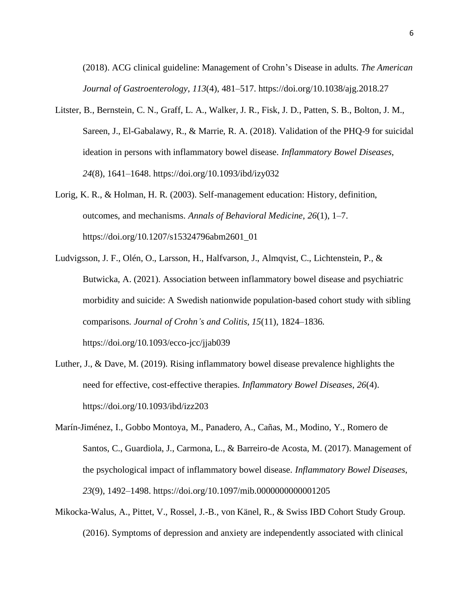(2018). ACG clinical guideline: Management of Crohn's Disease in adults. *The American Journal of Gastroenterology*, *113*(4), 481–517. https://doi.org[/10.1038/ajg.2018.27](10.1038/ajg.2018.27)

- Litster, B., Bernstein, C. N., Graff, L. A., Walker, J. R., Fisk, J. D., Patten, S. B., Bolton, J. M., Sareen, J., El-Gabalawy, R., & Marrie, R. A. (2018). Validation of the PHQ-9 for suicidal ideation in persons with inflammatory bowel disease. *Inflammatory Bowel Diseases*, *24*(8), 1641–1648. https://doi.org[/10.1093/ibd/izy032](10.1093/ibd/izy032)
- Lorig, K. R., & Holman, H. R. (2003). Self-management education: History, definition, outcomes, and mechanisms. *Annals of Behavioral Medicine*, *26*(1), 1–7. https://doi.org[/10.1207/s15324796abm2601\\_01](10.1207/s15324796abm2601_01)
- Ludvigsson, J. F., Olén, O., Larsson, H., Halfvarson, J., Almqvist, C., Lichtenstein, P., & Butwicka, A. (2021). Association between inflammatory bowel disease and psychiatric morbidity and suicide: A Swedish nationwide population-based cohort study with sibling comparisons. *Journal of Crohn's and Colitis*, *15*(11), 1824–1836. https://doi.org[/10.1093/ecco-jcc/jjab039](10.1093/ecco-jcc/jjab039)
- Luther, J., & Dave, M. (2019). Rising inflammatory bowel disease prevalence highlights the need for effective, cost-effective therapies. *Inflammatory Bowel Diseases*, *26*(4). https://doi.org[/10.1093/ibd/izz203](10.1093/ibd/izz203)
- Marín-Jiménez, I., Gobbo Montoya, M., Panadero, A., Cañas, M., Modino, Y., Romero de Santos, C., Guardiola, J., Carmona, L., & Barreiro-de Acosta, M. (2017). Management of the psychological impact of inflammatory bowel disease. *Inflammatory Bowel Diseases*, *23*(9), 1492–1498. https://doi.org[/10.1097/mib.0000000000001205](10.1097/mib.0000000000001205)
- Mikocka-Walus, A., Pittet, V., Rossel, J.-B., von Känel, R., & Swiss IBD Cohort Study Group. (2016). Symptoms of depression and anxiety are independently associated with clinical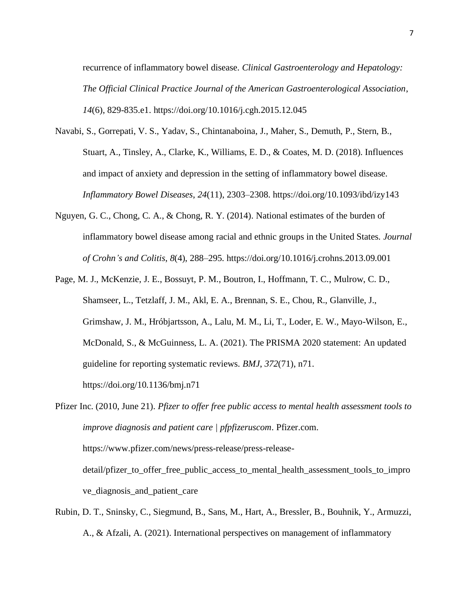recurrence of inflammatory bowel disease. *Clinical Gastroenterology and Hepatology: The Official Clinical Practice Journal of the American Gastroenterological Association*, *14*(6), 829-835.e1. https://doi.org[/10.1016/j.cgh.2015.12.045](10.1016/j.cgh.2015.12.045)

- Navabi, S., Gorrepati, V. S., Yadav, S., Chintanaboina, J., Maher, S., Demuth, P., Stern, B., Stuart, A., Tinsley, A., Clarke, K., Williams, E. D., & Coates, M. D. (2018). Influences and impact of anxiety and depression in the setting of inflammatory bowel disease. *Inflammatory Bowel Diseases*, *24*(11), 2303–2308. https://doi.org[/10.1093/ibd/izy143](10.1093/ibd/izy143)
- Nguyen, G. C., Chong, C. A., & Chong, R. Y. (2014). National estimates of the burden of inflammatory bowel disease among racial and ethnic groups in the United States. *Journal of Crohn's and Colitis*, *8*(4), 288–295. https://doi.org[/10.1016/j.crohns.2013.09.001](10.1016/j.crohns.2013.09.001)
- Page, M. J., McKenzie, J. E., Bossuyt, P. M., Boutron, I., Hoffmann, T. C., Mulrow, C. D., Shamseer, L., Tetzlaff, J. M., Akl, E. A., Brennan, S. E., Chou, R., Glanville, J., Grimshaw, J. M., Hróbjartsson, A., Lalu, M. M., Li, T., Loder, E. W., Mayo-Wilson, E., McDonald, S., & McGuinness, L. A. (2021). The PRISMA 2020 statement: An updated guideline for reporting systematic reviews. *BMJ*, *372*(71), n71. https://doi.org[/10.1136/bmj.n71](10.1136/bmj.n71)
- Pfizer Inc. (2010, June 21). *Pfizer to offer free public access to mental health assessment tools to improve diagnosis and patient care | pfpfizeruscom*. Pfizer.com. [https://www.pfizer.com/news/press-release/press-release](https://www.pfizer.com/news/press-release/press-release-detail/pfizer_to_offer_free_public_access_to_mental_health_assessment_tools_to_improve_diagnosis_and_patient_care)[detail/pfizer\\_to\\_offer\\_free\\_public\\_access\\_to\\_mental\\_health\\_assessment\\_tools\\_to\\_impro](https://www.pfizer.com/news/press-release/press-release-detail/pfizer_to_offer_free_public_access_to_mental_health_assessment_tools_to_improve_diagnosis_and_patient_care) [ve\\_diagnosis\\_and\\_patient\\_care](https://www.pfizer.com/news/press-release/press-release-detail/pfizer_to_offer_free_public_access_to_mental_health_assessment_tools_to_improve_diagnosis_and_patient_care)
- Rubin, D. T., Sninsky, C., Siegmund, B., Sans, M., Hart, A., Bressler, B., Bouhnik, Y., Armuzzi, A., & Afzali, A. (2021). International perspectives on management of inflammatory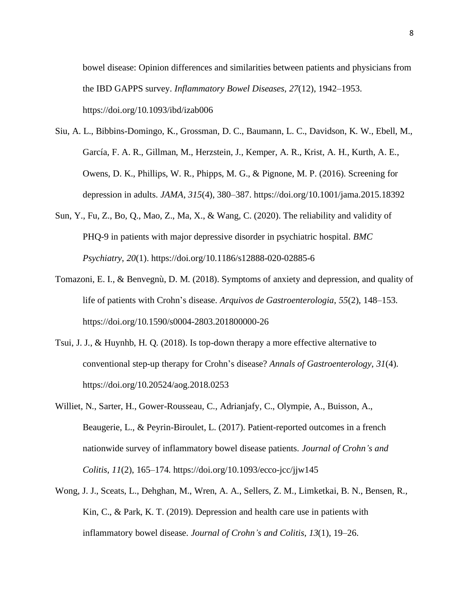bowel disease: Opinion differences and similarities between patients and physicians from the IBD GAPPS survey. *Inflammatory Bowel Diseases*, *27*(12), 1942–1953. https://doi.org[/10.1093/ibd/izab006](10.1093/ibd/izab006)

- Siu, A. L., Bibbins-Domingo, K., Grossman, D. C., Baumann, L. C., Davidson, K. W., Ebell, M., García, F. A. R., Gillman, M., Herzstein, J., Kemper, A. R., Krist, A. H., Kurth, A. E., Owens, D. K., Phillips, W. R., Phipps, M. G., & Pignone, M. P. (2016). Screening for depression in adults. *JAMA*, *315*(4), 380–387. https://doi.org[/10.1001/jama.2015.18392](10.1001/jama.2015.18392)
- Sun, Y., Fu, Z., Bo, Q., Mao, Z., Ma, X., & Wang, C. (2020). The reliability and validity of PHQ-9 in patients with major depressive disorder in psychiatric hospital. *BMC Psychiatry*, *20*(1). https://doi.org[/10.1186/s12888-020-02885-6](10.1186/s12888-020-02885-6)
- Tomazoni, E. I., & Benvegnù, D. M. (2018). Symptoms of anxiety and depression, and quality of life of patients with Crohn's disease. *Arquivos de Gastroenterologia*, *55*(2), 148–153. https://doi.org[/10.1590/s0004-2803.201800000-26](10.1590/s0004-2803.201800000-26)
- Tsui, J. J., & Huynhb, H. Q. (2018). Is top-down therapy a more effective alternative to conventional step-up therapy for Crohn's disease? *Annals of Gastroenterology*, *31*(4). https://doi.org[/10.20524/aog.2018.0253](10.20524/aog.2018.0253)
- Williet, N., Sarter, H., Gower-Rousseau, C., Adrianjafy, C., Olympie, A., Buisson, A., Beaugerie, L., & Peyrin-Biroulet, L. (2017). Patient-reported outcomes in a french nationwide survey of inflammatory bowel disease patients. *Journal of Crohn's and Colitis*, *11*(2), 165–174. https://doi.org[/10.1093/ecco-jcc/jjw145](10.1093/ecco-jcc/jjw145)
- Wong, J. J., Sceats, L., Dehghan, M., Wren, A. A., Sellers, Z. M., Limketkai, B. N., Bensen, R., Kin, C., & Park, K. T. (2019). Depression and health care use in patients with inflammatory bowel disease. *Journal of Crohn's and Colitis*, *13*(1), 19–26.